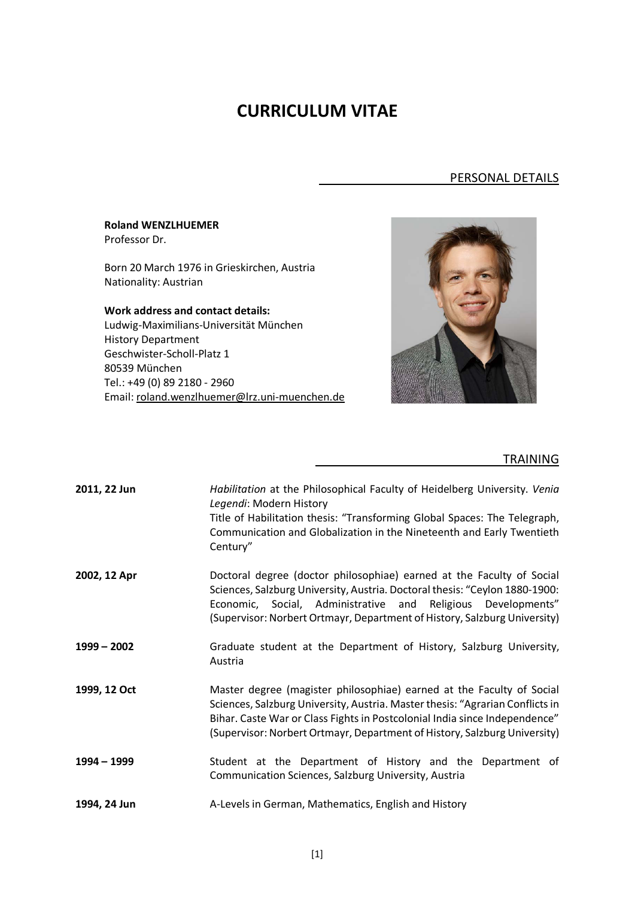## **CURRICULUM VITAE**

## PERSONAL DETAILS

| <b>Roland WENZLHUEMER</b><br>Professor Dr.                           |  |
|----------------------------------------------------------------------|--|
| Born 20 March 1976 in Grieskirchen, Austria<br>Nationality: Austrian |  |
| <b>Work address and contact details:</b>                             |  |
| Ludwig-Maximilians-Universität München                               |  |
| <b>History Department</b>                                            |  |
| Geschwister-Scholl-Platz 1                                           |  |
| 80539 München                                                        |  |
| Tel.: +49 (0) 89 2180 - 2960                                         |  |
| Email: roland.wenzlhuemer@lrz.uni-muenchen.de                        |  |

## **TRAINING**

| 2011, 22 Jun  | Habilitation at the Philosophical Faculty of Heidelberg University. Venia<br>Legendi: Modern History<br>Title of Habilitation thesis: "Transforming Global Spaces: The Telegraph,<br>Communication and Globalization in the Nineteenth and Early Twentieth<br>Century"                                            |
|---------------|-------------------------------------------------------------------------------------------------------------------------------------------------------------------------------------------------------------------------------------------------------------------------------------------------------------------|
| 2002, 12 Apr  | Doctoral degree (doctor philosophiae) earned at the Faculty of Social<br>Sciences, Salzburg University, Austria. Doctoral thesis: "Ceylon 1880-1900:<br>Economic, Social, Administrative and Religious Developments"<br>(Supervisor: Norbert Ortmayr, Department of History, Salzburg University)                 |
| $1999 - 2002$ | Graduate student at the Department of History, Salzburg University,<br>Austria                                                                                                                                                                                                                                    |
| 1999, 12 Oct  | Master degree (magister philosophiae) earned at the Faculty of Social<br>Sciences, Salzburg University, Austria. Master thesis: "Agrarian Conflicts in<br>Bihar. Caste War or Class Fights in Postcolonial India since Independence"<br>(Supervisor: Norbert Ortmayr, Department of History, Salzburg University) |
| 1994 - 1999   | Student at the Department of History and the Department of<br>Communication Sciences, Salzburg University, Austria                                                                                                                                                                                                |
| 1994, 24 Jun  | A-Levels in German, Mathematics, English and History                                                                                                                                                                                                                                                              |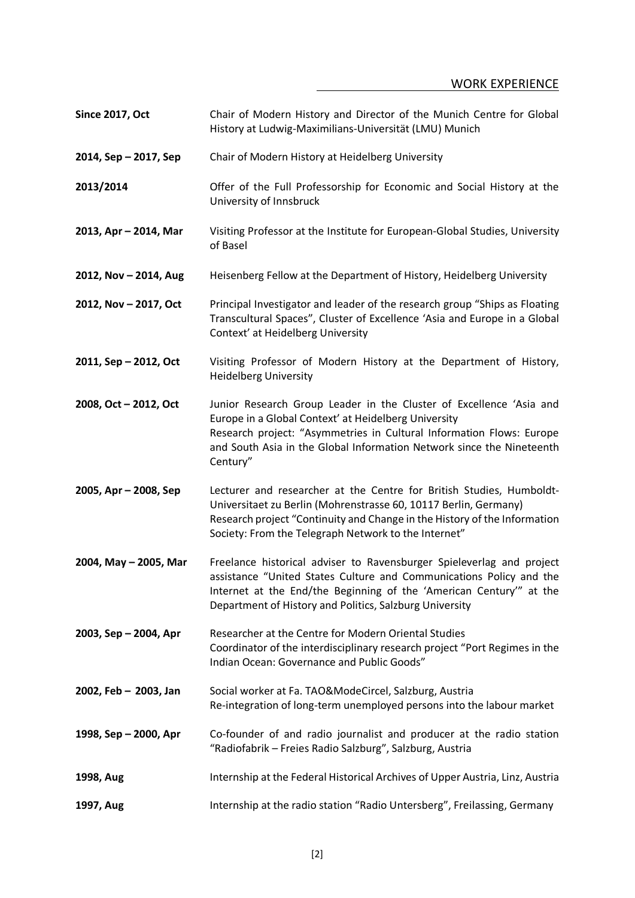| <b>Since 2017, Oct</b> | Chair of Modern History and Director of the Munich Centre for Global<br>History at Ludwig-Maximilians-Universität (LMU) Munich                                                                                                                                                           |
|------------------------|------------------------------------------------------------------------------------------------------------------------------------------------------------------------------------------------------------------------------------------------------------------------------------------|
| 2014, Sep - 2017, Sep  | Chair of Modern History at Heidelberg University                                                                                                                                                                                                                                         |
| 2013/2014              | Offer of the Full Professorship for Economic and Social History at the<br>University of Innsbruck                                                                                                                                                                                        |
| 2013, Apr - 2014, Mar  | Visiting Professor at the Institute for European-Global Studies, University<br>of Basel                                                                                                                                                                                                  |
| 2012, Nov - 2014, Aug  | Heisenberg Fellow at the Department of History, Heidelberg University                                                                                                                                                                                                                    |
| 2012, Nov - 2017, Oct  | Principal Investigator and leader of the research group "Ships as Floating<br>Transcultural Spaces", Cluster of Excellence 'Asia and Europe in a Global<br>Context' at Heidelberg University                                                                                             |
| 2011, Sep - 2012, Oct  | Visiting Professor of Modern History at the Department of History,<br><b>Heidelberg University</b>                                                                                                                                                                                       |
| 2008, Oct - 2012, Oct  | Junior Research Group Leader in the Cluster of Excellence 'Asia and<br>Europe in a Global Context' at Heidelberg University<br>Research project: "Asymmetries in Cultural Information Flows: Europe<br>and South Asia in the Global Information Network since the Nineteenth<br>Century" |
| 2005, Apr - 2008, Sep  | Lecturer and researcher at the Centre for British Studies, Humboldt-<br>Universitaet zu Berlin (Mohrenstrasse 60, 10117 Berlin, Germany)<br>Research project "Continuity and Change in the History of the Information<br>Society: From the Telegraph Network to the Internet"            |
| 2004, May - 2005, Mar  | Freelance historical adviser to Ravensburger Spieleverlag and project<br>assistance "United States Culture and Communications Policy and the<br>Internet at the End/the Beginning of the 'American Century'" at the<br>Department of History and Politics, Salzburg University           |
| 2003, Sep - 2004, Apr  | Researcher at the Centre for Modern Oriental Studies<br>Coordinator of the interdisciplinary research project "Port Regimes in the<br>Indian Ocean: Governance and Public Goods"                                                                                                         |
| 2002, Feb - 2003, Jan  | Social worker at Fa. TAO&ModeCircel, Salzburg, Austria<br>Re-integration of long-term unemployed persons into the labour market                                                                                                                                                          |
| 1998, Sep - 2000, Apr  | Co-founder of and radio journalist and producer at the radio station<br>"Radiofabrik - Freies Radio Salzburg", Salzburg, Austria                                                                                                                                                         |
| 1998, Aug              | Internship at the Federal Historical Archives of Upper Austria, Linz, Austria                                                                                                                                                                                                            |
| 1997, Aug              | Internship at the radio station "Radio Untersberg", Freilassing, Germany                                                                                                                                                                                                                 |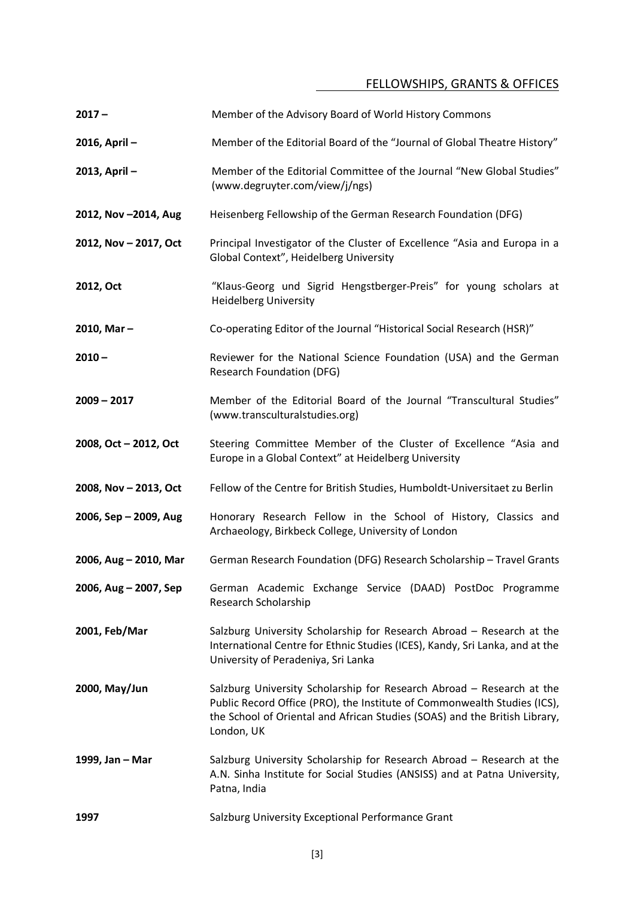## FELLOWSHIPS, GRANTS & OFFICES

| $2017 -$              | Member of the Advisory Board of World History Commons                                                                                                                                                                                         |
|-----------------------|-----------------------------------------------------------------------------------------------------------------------------------------------------------------------------------------------------------------------------------------------|
| 2016, April-          | Member of the Editorial Board of the "Journal of Global Theatre History"                                                                                                                                                                      |
| 2013, April-          | Member of the Editorial Committee of the Journal "New Global Studies"<br>(www.degruyter.com/view/j/ngs)                                                                                                                                       |
| 2012, Nov-2014, Aug   | Heisenberg Fellowship of the German Research Foundation (DFG)                                                                                                                                                                                 |
| 2012, Nov - 2017, Oct | Principal Investigator of the Cluster of Excellence "Asia and Europa in a<br>Global Context", Heidelberg University                                                                                                                           |
| 2012, Oct             | "Klaus-Georg und Sigrid Hengstberger-Preis" for young scholars at<br><b>Heidelberg University</b>                                                                                                                                             |
| 2010, Mar $-$         | Co-operating Editor of the Journal "Historical Social Research (HSR)"                                                                                                                                                                         |
| $2010 -$              | Reviewer for the National Science Foundation (USA) and the German<br><b>Research Foundation (DFG)</b>                                                                                                                                         |
| $2009 - 2017$         | Member of the Editorial Board of the Journal "Transcultural Studies"<br>(www.transculturalstudies.org)                                                                                                                                        |
| 2008, Oct - 2012, Oct | Steering Committee Member of the Cluster of Excellence "Asia and<br>Europe in a Global Context" at Heidelberg University                                                                                                                      |
| 2008, Nov - 2013, Oct | Fellow of the Centre for British Studies, Humboldt-Universitaet zu Berlin                                                                                                                                                                     |
| 2006, Sep - 2009, Aug | Honorary Research Fellow in the School of History, Classics and<br>Archaeology, Birkbeck College, University of London                                                                                                                        |
| 2006, Aug - 2010, Mar | German Research Foundation (DFG) Research Scholarship - Travel Grants                                                                                                                                                                         |
| 2006, Aug - 2007, Sep | German Academic Exchange Service (DAAD) PostDoc Programme<br>Research Scholarship                                                                                                                                                             |
| 2001, Feb/Mar         | Salzburg University Scholarship for Research Abroad - Research at the<br>International Centre for Ethnic Studies (ICES), Kandy, Sri Lanka, and at the<br>University of Peradeniya, Sri Lanka                                                  |
| 2000, May/Jun         | Salzburg University Scholarship for Research Abroad - Research at the<br>Public Record Office (PRO), the Institute of Commonwealth Studies (ICS),<br>the School of Oriental and African Studies (SOAS) and the British Library,<br>London, UK |
| 1999, Jan - Mar       | Salzburg University Scholarship for Research Abroad - Research at the<br>A.N. Sinha Institute for Social Studies (ANSISS) and at Patna University,<br>Patna, India                                                                            |
| 1997                  | Salzburg University Exceptional Performance Grant                                                                                                                                                                                             |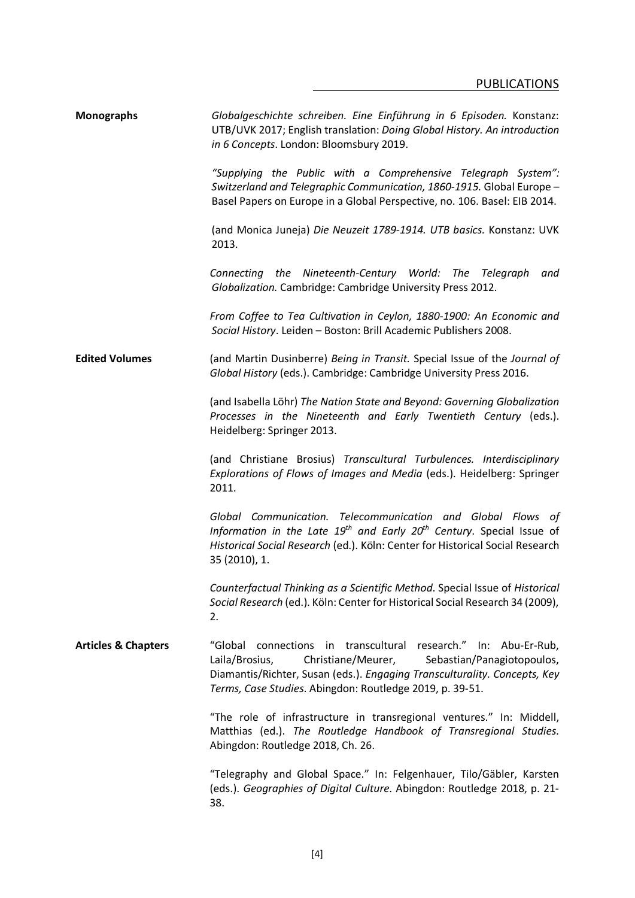| <b>Monographs</b>              | Globalgeschichte schreiben. Eine Einführung in 6 Episoden. Konstanz:<br>UTB/UVK 2017; English translation: Doing Global History. An introduction<br>in 6 Concepts. London: Bloomsbury 2019.                                                                                    |
|--------------------------------|--------------------------------------------------------------------------------------------------------------------------------------------------------------------------------------------------------------------------------------------------------------------------------|
|                                | "Supplying the Public with a Comprehensive Telegraph System":<br>Switzerland and Telegraphic Communication, 1860-1915. Global Europe -<br>Basel Papers on Europe in a Global Perspective, no. 106. Basel: EIB 2014.                                                            |
|                                | (and Monica Juneja) Die Neuzeit 1789-1914. UTB basics. Konstanz: UVK<br>2013.                                                                                                                                                                                                  |
|                                | Connecting the Nineteenth-Century World: The Telegraph<br>and<br>Globalization. Cambridge: Cambridge University Press 2012.                                                                                                                                                    |
|                                | From Coffee to Tea Cultivation in Ceylon, 1880-1900: An Economic and<br>Social History. Leiden - Boston: Brill Academic Publishers 2008.                                                                                                                                       |
| <b>Edited Volumes</b>          | (and Martin Dusinberre) Being in Transit. Special Issue of the Journal of<br>Global History (eds.). Cambridge: Cambridge University Press 2016.                                                                                                                                |
|                                | (and Isabella Löhr) The Nation State and Beyond: Governing Globalization<br>Processes in the Nineteenth and Early Twentieth Century (eds.).<br>Heidelberg: Springer 2013.                                                                                                      |
|                                | (and Christiane Brosius) Transcultural Turbulences. Interdisciplinary<br>Explorations of Flows of Images and Media (eds.). Heidelberg: Springer<br>2011.                                                                                                                       |
|                                | Global Communication. Telecommunication and Global Flows of<br>Information in the Late $19th$ and Early $20th$ Century. Special Issue of<br>Historical Social Research (ed.). Köln: Center for Historical Social Research<br>35 (2010), 1.                                     |
|                                | Counterfactual Thinking as a Scientific Method. Special Issue of Historical<br>Social Research (ed.). Köln: Center for Historical Social Research 34 (2009),<br>2.                                                                                                             |
| <b>Articles &amp; Chapters</b> | "Global connections in transcultural research." In: Abu-Er-Rub,<br>Christiane/Meurer,<br>Laila/Brosius,<br>Sebastian/Panagiotopoulos,<br>Diamantis/Richter, Susan (eds.). Engaging Transculturality. Concepts, Key<br>Terms, Case Studies. Abingdon: Routledge 2019, p. 39-51. |
|                                | "The role of infrastructure in transregional ventures." In: Middell,<br>Matthias (ed.). The Routledge Handbook of Transregional Studies.<br>Abingdon: Routledge 2018, Ch. 26.                                                                                                  |
|                                | "Telegraphy and Global Space." In: Felgenhauer, Tilo/Gäbler, Karsten<br>(eds.). Geographies of Digital Culture. Abingdon: Routledge 2018, p. 21-<br>38.                                                                                                                        |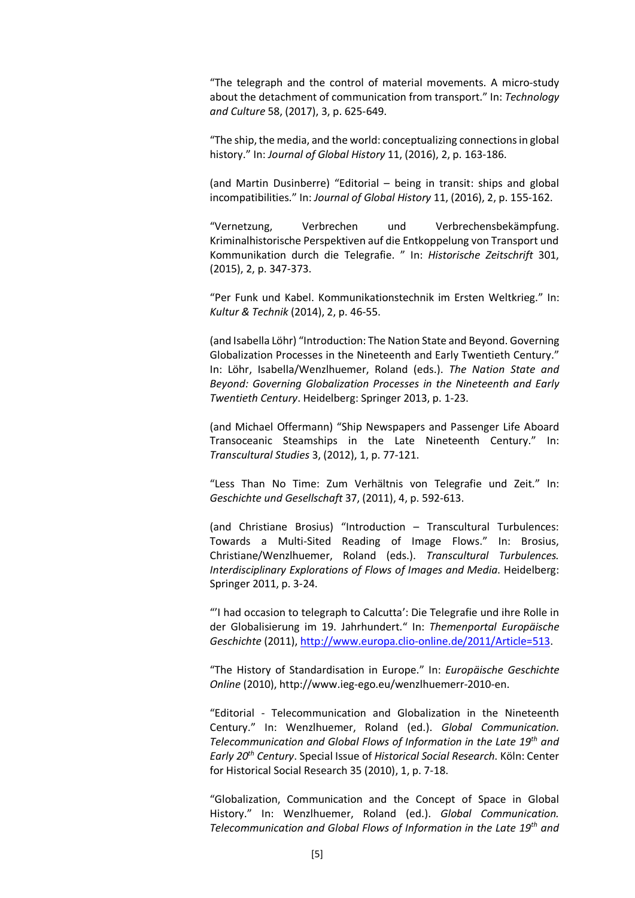"The telegraph and the control of material movements. A micro-study about the detachment of communication from transport." In: *Technology and Culture* 58, (2017), 3, p. 625-649.

"The ship, the media, and the world: conceptualizing connections in global history." In: *Journal of Global History* 11, (2016), 2, p. 163-186.

(and Martin Dusinberre) "Editorial – being in transit: ships and global incompatibilities." In: *Journal of Global History* 11, (2016), 2, p. 155-162.

"Vernetzung, Verbrechen und Verbrechensbekämpfung. Kriminalhistorische Perspektiven auf die Entkoppelung von Transport und Kommunikation durch die Telegrafie. " In: *Historische Zeitschrift* 301, (2015), 2, p. 347-373.

"Per Funk und Kabel. Kommunikationstechnik im Ersten Weltkrieg." In: *Kultur & Technik* (2014), 2, p. 46-55.

(and Isabella Löhr) "Introduction: The Nation State and Beyond. Governing Globalization Processes in the Nineteenth and Early Twentieth Century." In: Löhr, Isabella/Wenzlhuemer, Roland (eds.). *The Nation State and Beyond: Governing Globalization Processes in the Nineteenth and Early Twentieth Century*. Heidelberg: Springer 2013, p. 1-23.

(and Michael Offermann) "Ship Newspapers and Passenger Life Aboard Transoceanic Steamships in the Late Nineteenth Century." In: *Transcultural Studies* 3, (2012), 1, p. 77-121.

"Less Than No Time: Zum Verhältnis von Telegrafie und Zeit." In: *Geschichte und Gesellschaft* 37, (2011), 4, p. 592-613.

(and Christiane Brosius) "Introduction – Transcultural Turbulences: Towards a Multi-Sited Reading of Image Flows." In: Brosius, Christiane/Wenzlhuemer, Roland (eds.). *Transcultural Turbulences. Interdisciplinary Explorations of Flows of Images and Media*. Heidelberg: Springer 2011, p. 3-24.

"'I had occasion to telegraph to Calcutta': Die Telegrafie und ihre Rolle in der Globalisierung im 19. Jahrhundert." In: *Themenportal Europäische Geschichte* (2011), [http://www.europa.clio-online.de/2011/Article=513.](http://www.europa.clio-online.de/2011/Article=513)

"The History of Standardisation in Europe." In: *Europäische Geschichte Online* (2010), http://www.ieg-ego.eu/wenzlhuemerr-2010-en.

"Editorial - Telecommunication and Globalization in the Nineteenth Century." In: Wenzlhuemer, Roland (ed.). *Global Communication. Telecommunication and Global Flows of Information in the Late 19th and Early 20th Century*. Special Issue of *Historical Social Research*. Köln: Center for Historical Social Research 35 (2010), 1, p. 7-18.

"Globalization, Communication and the Concept of Space in Global History." In: Wenzlhuemer, Roland (ed.). *Global Communication. Telecommunication and Global Flows of Information in the Late 19th and*